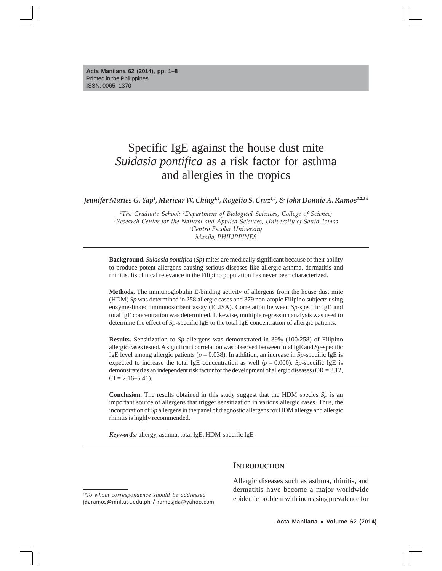# Specific IgE against the house dust mite *Suidasia pontifica* as a risk factor for asthma and allergies in the tropics

Jennifer Maries G. Yap<sup>1</sup>, Maricar W. Ching<sup>1,4</sup>, Rogelio S. Cruz<sup>1,4</sup>, & John Donnie A. Ramos<sup>1,2,3</sup>\*

 *The Graduate School; 2 Department of Biological Sciences, College of Science; Research Center for the Natural and Applied Sciences, University of Santo Tomas Centro Escolar University Manila, PHILIPPINES*

**Background.** *Suidasia pontifica* (*Sp*) mites are medically significant because of their ability to produce potent allergens causing serious diseases like allergic asthma, dermatitis and rhinitis. Its clinical relevance in the Filipino population has never been characterized.

**Methods.** The immunoglobulin E-binding activity of allergens from the house dust mite (HDM) *Sp* was determined in 258 allergic cases and 379 non-atopic Filipino subjects using enzyme-linked immunosorbent assay (ELISA). Correlation between *Sp*-specific IgE and total IgE concentration was determined. Likewise, multiple regression analysis was used to determine the effect of *Sp-*specific IgE to the total IgE concentration of allergic patients.

**Results.** Sensitization to *Sp* allergens was demonstrated in 39% (100/258) of Filipino allergic cases tested. A significant correlation was observed between total IgE and *Sp*-specific IgE level among allergic patients ( $p = 0.038$ ). In addition, an increase in *Sp*-specific IgE is expected to increase the total IgE concentration as well ( $p = 0.000$ ). *Sp*-specific IgE is demonstrated as an independent risk factor for the development of allergic diseases (OR = 3.12,  $CI = 2.16 - 5.41$ .

**Conclusion.** The results obtained in this study suggest that the HDM species *Sp* is an important source of allergens that trigger sensitization in various allergic cases. Thus, the incorporation of *Sp* allergens in the panel of diagnostic allergens for HDM allergy and allergic rhinitis is highly recommended.

*Keywords:* allergy, asthma, total IgE, HDM-specific IgE

**INTRODUCTION**

Allergic diseases such as asthma, rhinitis, and dermatitis have become a major worldwide epidemic problem with increasing prevalence for

*<sup>\*</sup>To whom correspondence should be addressed* jdaramos@mnl.ust.edu.ph / ramosjda@yahoo.com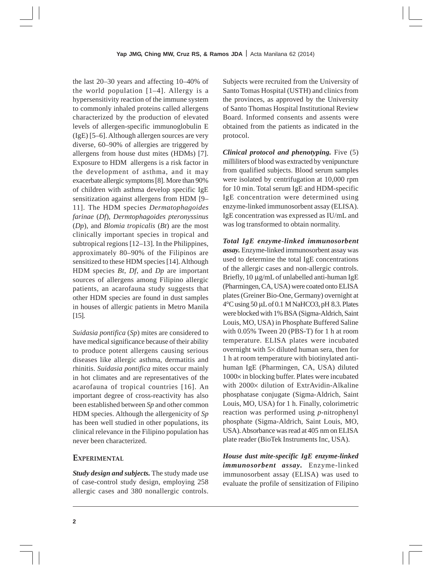the last 20–30 years and affecting 10–40% of the world population [1–4]. Allergy is a hypersensitivity reaction of the immune system to commonly inhaled proteins called allergens characterized by the production of elevated levels of allergen-specific immunoglobulin E (IgE) [5–6]. Although allergen sources are very diverse, 60–90% of allergies are triggered by allergens from house dust mites (HDMs) [7]. Exposure to HDM allergens is a risk factor in the development of asthma, and it may exacerbate allergic symptoms [8]. More than 90% of children with asthma develop specific IgE sensitization against allergens from HDM [9– 11]. The HDM species *Dermatophagoides farinae* (*Df*), *Dermtophagoides pteronyssinus* (*Dp*), and *Blomia tropicalis* (*Bt*) are the most clinically important species in tropical and subtropical regions [12–13]. In the Philippines, approximately 80–90% of the Filipinos are sensitized to these HDM species [14]. Although HDM species *Bt*, *Df*, and *Dp* are important sources of allergens among Filipino allergic patients, an acarofauna study suggests that other HDM species are found in dust samples in houses of allergic patients in Metro Manila [15].

*Suidasia pontifica* (*Sp*) mites are considered to have medical significance because of their ability to produce potent allergens causing serious diseases like allergic asthma, dermatitis and rhinitis. *Suidasia pontifica* mites occur mainly in hot climates and are representatives of the acarofauna of tropical countries [16]. An important degree of cross-reactivity has also been established between *Sp* and other common HDM species. Although the allergenicity of *Sp* has been well studied in other populations, its clinical relevance in the Filipino population has never been characterized.

# **EXPERIMENTAL**

*Study design and subjects.* The study made use of case-control study design, employing 258 allergic cases and 380 nonallergic controls. Subjects were recruited from the University of Santo Tomas Hospital (USTH) and clinics from the provinces, as approved by the University of Santo Thomas Hospital Institutional Review Board. Informed consents and assents were obtained from the patients as indicated in the protocol.

*Clinical protocol and phenotyping.* Five (5) milliliters of blood was extracted by venipuncture from qualified subjects. Blood serum samples were isolated by centrifugation at 10,000 rpm for 10 min. Total serum IgE and HDM-specific IgE concentration were determined using enzyme-linked immunosorbent assay (ELISA). IgE concentration was expressed as IU/mL and was log transformed to obtain normality.

*Total IgE enzyme-linked immunosorbent assay.* Enzyme-linked immunosorbent assay was used to determine the total IgE concentrations of the allergic cases and non-allergic controls. Briefly,  $10 \mu g/mL$  of unlabelled anti-human IgE (Pharmingen, CA, USA) were coated onto ELISA plates (Greiner Bio-One, Germany) overnight at  $4^{\circ}$ C using 50 µL of 0.1 M NaHCO3, pH 8.3. Plates were blocked with 1% BSA (Sigma-Aldrich, Saint Louis, MO, USA) in Phosphate Buffered Saline with 0.05% Tween 20 (PBS-T) for 1 h at room temperature. ELISA plates were incubated overnight with  $5 \times$  diluted human sera, then for 1 h at room temperature with biotinylated antihuman IgE (Pharmingen, CA, USA) diluted  $1000 \times$  in blocking buffer. Plates were incubated with  $2000 \times$  dilution of ExtrAvidin-Alkaline phosphatase conjugate (Sigma-Aldrich, Saint Louis, MO, USA) for 1 h. Finally, colorimetric reaction was performed using *p*-nitrophenyl phosphate (Sigma-Aldrich, Saint Louis, MO, USA). Absorbance was read at 405 nm on ELISA plate reader (BioTek Instruments Inc, USA).

*House dust mite-specific IgE enzyme-linked immunosorbent assay.* Enzyme-linked immunosorbent assay (ELISA) was used to evaluate the profile of sensitization of Filipino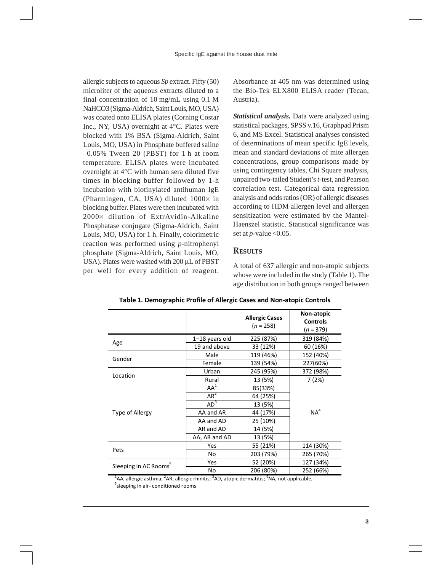allergic subjects to aqueous *Sp* extract. Fifty (50) microliter of the aqueous extracts diluted to a final concentration of 10 mg/mL using 0.1 M NaHCO3 (Sigma-Aldrich, Saint Louis, MO, USA) was coated onto ELISA plates (Corning Costar Inc., NY, USA) overnight at 4°C. Plates were blocked with 1% BSA (Sigma-Aldrich, Saint Louis, MO, USA) in Phosphate buffered saline –0.05% Tween 20 (PBST) for 1 h at room temperature. ELISA plates were incubated overnight at 4°C with human sera diluted five times in blocking buffer followed by 1-h incubation with biotinylated antihuman IgE (Pharmingen, CA, USA) diluted  $1000 \times$  in blocking buffer. Plates were then incubated with 2000 x dilution of ExtrAvidin-Alkaline Phosphatase conjugate (Sigma-Aldrich, Saint Louis, MO, USA) for 1 h. Finally, colorimetric reaction was performed using *p*-nitrophenyl phosphate (Sigma-Aldrich, Saint Louis, MO, USA). Plates were washed with 200 µL of PBST per well for every addition of reagent. Absorbance at 405 nm was determined using the Bio-Tek ELX800 ELISA reader (Tecan, Austria).

*Statistical analysis.* Data were analyzed using statistical packages, SPSS v.16, Graphpad Prism 6, and MS Excel. Statistical analyses consisted of determinations of mean specific IgE levels, mean and standard deviations of mite allergen concentrations, group comparisons made by using contingency tables, Chi Square analysis, unpaired two-tailed Student's *t*-test, and Pearson correlation test. Categorical data regression analysis and odds ratios (OR) of allergic diseases according to HDM allergen level and allergen sensitization were estimated by the Mantel-Haenszel statistic. Statistical significance was set at  $p$ -value < $0.05$ .

# **RESULTS**

A total of 637 allergic and non-atopic subjects whose were included in the study (Table 1). The age distribution in both groups ranged between

|                                   |                 | <b>Allergic Cases</b><br>$(n = 258)$ | Non-atopic<br><b>Controls</b><br>$(n = 379)$ |  |
|-----------------------------------|-----------------|--------------------------------------|----------------------------------------------|--|
|                                   | 1-18 years old  | 225 (87%)                            | 319 (84%)                                    |  |
| Age                               | 19 and above    | 33 (12%)                             | 60 (16%)                                     |  |
|                                   | Male            | 119 (46%)                            | 152 (40%)                                    |  |
| Gender                            | Female          | 139 (54%)                            | 227(60%)                                     |  |
| Location                          | Urban           | 245 (95%)                            | 372 (98%)                                    |  |
|                                   | Rural           | 13 (5%)                              | 7 (2%)                                       |  |
| Type of Allergy                   | $AA^1$          | 85(33%)                              |                                              |  |
|                                   | $AR^2$          | 64 (25%)                             |                                              |  |
|                                   | AD <sup>3</sup> | 13 (5%)                              |                                              |  |
|                                   | AA and AR       | 44 (17%)                             | NA <sup>4</sup>                              |  |
|                                   | AA and AD       | 25 (10%)                             |                                              |  |
|                                   | AR and AD       | 14 (5%)                              |                                              |  |
|                                   | AA, AR and AD   | 13 (5%)                              |                                              |  |
| Pets                              | Yes             | 55 (21%)                             | 114 (30%)                                    |  |
|                                   | No              | 203 (79%)                            | 265 (70%)                                    |  |
|                                   | Yes             | 52 (20%)                             | 127 (34%)                                    |  |
| Sleeping in AC Rooms <sup>5</sup> | No              | 206 (80%)                            | 252 (66%)                                    |  |

**Table 1. Demographic Profile of Allergic Cases and Non-atopic Controls** 

No 206 (80%) 252 (66%)<br><sup>1</sup>AA, allergic asthma; <sup>2</sup>AR, allergic rhinitis; <sup>3</sup>AD, atopic dermatitis; <sup>4</sup>NA, not applicable;<br><sup>5</sup>clogains in six conditioned recens sleeping in air- conditioned rooms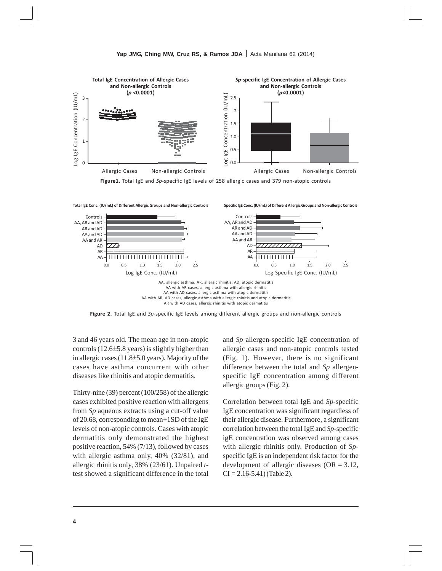

**Figure1.** Total IgE and *Sp*-specific IgE levels of 258 allergic cases and 379 non-atopic controls

AA, allergic asthma; AR, allergic rhinitis; AD, atopic dermatitis AA with AR cases, allergic asthma with allergic rhinitis AA with AD cases, allergic asthma with atopic dermatitis AA with AR, AD cases, allergic asthma with allergic rhinitis and atopic dermatitis AR with AD cases, allergic rhinitis with atopic dermatitis Log IgE Conc. (IU/mL) Log Specific IgE Conc. (IU/mL)  $0.0$ Controls – AA, AR and AD AR and AD AA and AD – AA and AR – AD – AR – AA – 1234 The Contract of the Contract of the Contract of the Contract of the Contract of the Contract of the Contract of 12345 1234<del>6789012345</del> 1<del>234567891</del> 12345678901234567890123456789 12345678901234567890123456789 12345678901234567890123456789 0.5 1.0 1.5 2.0 2.5 0.0 Controls – AA, AR and AD – AR and AD AA and AD AA and AR – AD – AR –  $\Delta\Delta$ 1234<del>57890123457890123457890123457890</del> 1234567890123 , , , , , , , , , , <u>1234</u>578 123456789012345 12345678901234 12345678901234 12345678901234 0.5 1.0 1.5 2.0 2.5 **Total IgE Conc. (IU/mL) of Different Allergic Groups and Non-allergic Controls Specific IgE Conc. (IU/mL) of Different Allergic Groups and Non-allergic Controls**

**Figure 2.** Total IgE and *Sp*-specific IgE levels among different allergic groups and non-allergic controls

3 and 46 years old. The mean age in non-atopic controls (12.6 $\pm$ 5.8 years) is slightly higher than in allergic cases  $(11.8\pm5.0$  years). Majority of the cases have asthma concurrent with other diseases like rhinitis and atopic dermatitis.

Thirty-nine (39) percent (100/258) of the allergic cases exhibited positive reaction with allergens from *Sp* aqueous extracts using a cut-off value of 20.68, corresponding to mean+1SD of the IgE levels of non-atopic controls. Cases with atopic dermatitis only demonstrated the highest positive reaction, 54% (7/13), followed by cases with allergic asthma only, 40% (32/81), and allergic rhinitis only, 38% (23/61). Unpaired *t*test showed a significant difference in the total

and *Sp* allergen-specific IgE concentration of allergic cases and non-atopic controls tested (Fig. 1). However, there is no significant difference between the total and *Sp* allergenspecific IgE concentration among different allergic groups (Fig. 2).

Correlation between total IgE and *Sp*-specific IgE concentration was significant regardless of their allergic disease. Furthermore, a significant correlation between the total IgE and *Sp*-specific igE concentration was observed among cases with allergic rhinitis only. Production of *Sp*specific IgE is an independent risk factor for the development of allergic diseases (OR = 3.12,  $CI = 2.16 - 5.41$  (Table 2).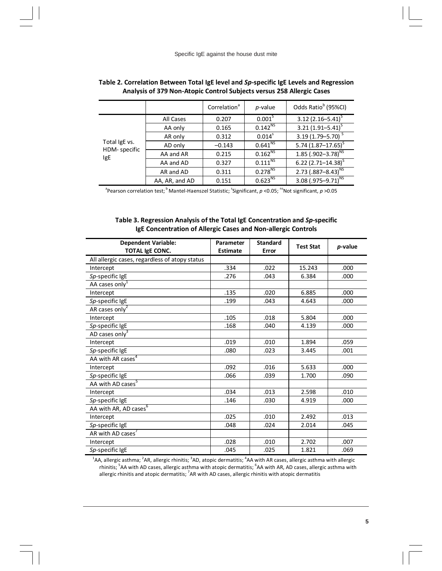|                                      |                | Correlation <sup>a</sup> | $p$ -value              | Odds Ratio <sup>b</sup> (95%CI) |
|--------------------------------------|----------------|--------------------------|-------------------------|---------------------------------|
| Total IgE vs.<br>HDM-specific<br>IgE | All Cases      | 0.207                    | 0.001 <sup>5</sup>      | 3.12 $(2.16 - 5.41)^{S}$        |
|                                      | AA only        | 0.165                    | $0.142^{NS}$            | $3.21(1.91 - 5.41)^{5}$         |
|                                      | AR only        | 0.312                    | $0.014^{s}$             | $3.19(1.79 - 5.70)$             |
|                                      | AD only        | $-0.143$                 | $0.641^{N\overline{S}}$ | 5.74 $(1.87 - 17.65)^{S}$       |
|                                      | AA and AR      | 0.215                    | $0.162^{NS}$            | 1.85 $(.902 - 3.78)^{NS}$       |
|                                      | AA and AD      | 0.327                    | $0.111^{NS}$            | 6.22 $(2.71 - 14.38)^{S}$       |
|                                      | AR and AD      | 0.311                    | $0.278^{NS}$            | 2.73 $(.887 - 8.43)^{NS}$       |
|                                      | AA, AR, and AD | 0.151                    | $0.623^{NS}$            | 3.08 $(.975 - 9.71)^{NS}$       |

| Table 2. Correlation Between Total IgE level and Sp-specific IgE Levels and Regression |
|----------------------------------------------------------------------------------------|
| Analysis of 379 Non-Atopic Control Subjects versus 258 Allergic Cases                  |

<sup>a</sup> Pearson correlation test; <sup>b</sup> Mantel-Haenszel Statistic; <sup>s</sup>Significant, *p* <0.05; <sup>ns</sup>Not significant, *p* >0.05

#### **Table 3. Regression Analysis of the Total IgE Concentration and** *Sp***-specific IgE Concentration of Allergic Cases and Non-allergic Controls**

| <b>Dependent Variable:</b><br><b>TOTAL IgE CONC.</b> | Parameter<br><b>Estimate</b> | <b>Standard</b><br>Error | <b>Test Stat</b> | p-value |
|------------------------------------------------------|------------------------------|--------------------------|------------------|---------|
| All allergic cases, regardless of atopy status       |                              |                          |                  |         |
| Intercept                                            | .334                         | .022                     | 15.243           | .000    |
| Sp-specific IgE                                      | .276                         | .043                     | 6.384            | .000    |
| AA cases only <sup>1</sup>                           |                              |                          |                  |         |
| Intercept                                            | .135                         | .020                     | 6.885            | .000    |
| Sp-specific IgE                                      | .199                         | .043                     | 4.643            | .000    |
| AR cases only $^2$                                   |                              |                          |                  |         |
| Intercept                                            | .105                         | .018                     | 5.804            | .000    |
| Sp-specific IgE                                      | .168                         | .040                     | 4.139            | .000    |
| AD cases only $3$                                    |                              |                          |                  |         |
| Intercept                                            | .019                         | .010                     | 1.894            | .059    |
| Sp-specific IgE                                      | .080                         | .023                     | 3.445            | .001    |
| AA with AR cases <sup>4</sup>                        |                              |                          |                  |         |
| Intercept                                            | .092                         | .016                     | 5.633            | .000    |
| Sp-specific IgE                                      | .066                         | .039                     | 1.700            | .090    |
| AA with AD cases <sup>5</sup>                        |                              |                          |                  |         |
| Intercept                                            | .034                         | .013                     | 2.598            | .010    |
| Sp-specific IgE                                      | .146                         | .030                     | 4.919            | .000    |
| AA with AR, AD cases <sup>6</sup>                    |                              |                          |                  |         |
| Intercept                                            | .025                         | .010                     | 2.492            | .013    |
| Sp-specific IgE                                      | .048                         | .024                     | 2.014            | .045    |
| AR with AD cases'                                    |                              |                          |                  |         |
| Intercept                                            | .028                         | .010                     | 2.702            | .007    |
| Sp-specific IgE                                      | .045                         | .025                     | 1.821            | .069    |

<sup>1</sup>AA, allergic asthma; <sup>2</sup>AR, allergic rhinitis; <sup>3</sup>AD, atopic dermatitis; <sup>4</sup>AA with AR cases, allergic asthma with allergic<br>rhinitis; <sup>5</sup>AA with AD cases, allergic asthma with atopic dermatitis; <sup>6</sup>AA with AR, AD cases, allergic rhinitis and atopic dermatitis;  ${}^{7}$ AR with AD cases, allergic rhinitis with atopic dermatitis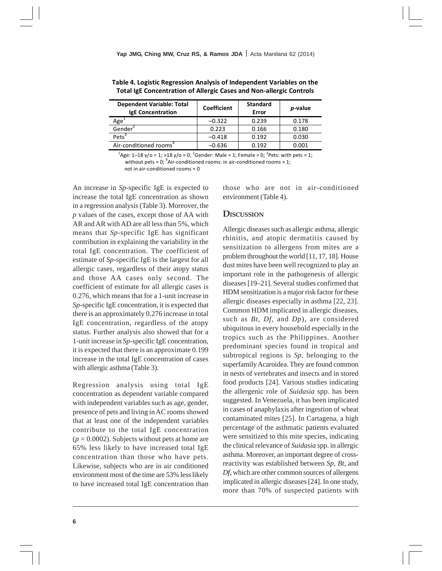| <b>Dependent Variable: Total</b><br><b>IgE Concentration</b> | <b>Coefficient</b> | <b>Standard</b><br>Error | <i>p</i> -value |
|--------------------------------------------------------------|--------------------|--------------------------|-----------------|
| Age <sup>+</sup>                                             | $-0.322$           | 0.239                    | 0.178           |
| Gender <sup>2</sup>                                          | 0.223              | 0.166                    | 0.180           |
| Pets <sup>3</sup>                                            | $-0.418$           | 0.192                    | 0.030           |
| Air-conditioned rooms <sup>4</sup>                           | $-0.636$           | 0.192                    | 0.001           |

**Table 4. Logistic Regression Analysis of Independent Variables on the Total IgE Concentration of Allergic Cases and Non-allergic Controls** 

 $^{1}$ Age: 1–18 y/o = 1; >18 y/o = 0;  $^{2}$ Gender: Male = 1; Female = 0;  $^{3}$ Pets: with pets = 1; without pets =  $0$ ; <sup>4</sup>Air-conditioned rooms: in air-conditioned rooms = 1; not in air-conditioned rooms = 0

An increase in *Sp*-specific IgE is expected to increase the total IgE concentration as shown in a regression analysis (Table 3). Moreover, the *p* values of the cases, except those of AA with AR and AR with AD are all less than 5%, which means that *Sp*-specific IgE has significant contribution in explaining the variability in the total IgE concentration. The coefficient of estimate of *Sp*-specific IgE is the largest for all allergic cases, regardless of their atopy status and those AA cases only second. The coefficient of estimate for all allergic cases is 0.276, which means that for a 1-unit increase in *Sp*-specific IgE concentration, it is expected that there is an approximately 0.276 increase in total IgE concentration, regardless of the atopy status. Further analysis also showed that for a 1-unit increase in *Sp*-specific IgE concentration, it is expected that there is an approximate 0.199 increase in the total IgE concentration of cases with allergic asthma (Table 3).

Regression analysis using total IgE concentration as dependent variable compared with independent variables such as age, gender, presence of pets and living in AC rooms showed that at least one of the independent variables contribute to the total IgE concentration  $(p = 0.0002)$ . Subjects without pets at home are 65% less likely to have increased total IgE concentration than those who have pets. Likewise, subjects who are in air conditioned environment most of the time are 53% less likely to have increased total IgE concentration than

those who are not in air-conditioned environment (Table 4).

## **DISCUSSION**

Allergic diseases such as allergic asthma, allergic rhinitis, and atopic dermatitis caused by sensitization to allergens from mites are a problem throughout the world [11, 17, 18]. House dust mites have been well recognized to play an important role in the pathogenesis of allergic diseases [19–21]. Several studies confirmed that HDM sensitization is a major risk factor for these allergic diseases especially in asthma [22, 23]. Common HDM implicated in allergic diseases, such as *Bt*, *Df*, and *Dp*), are considered ubiquitous in every household especially in the tropics such as the Philippines. Another predominant species found in tropical and subtropical regions is *Sp*, belonging to the superfamily Acaroidea. They are found common in nests of vertebrates and insects and in stored food products [24]. Various studies indicating the allergenic role of *Suidasia* spp. has been suggested. In Venezuela, it has been implicated in cases of anaphylaxis after ingestion of wheat contaminated mites [25]. In Cartagena, a high percentage of the asthmatic patients evaluated were sensitized to this mite species, indicating the clinical relevance of *Suidasia* spp. in allergic asthma. Moreover, an important degree of crossreactivity was established between *Sp*, *Bt*, and *Df*, which are other common sources of allergens implicated in allergic diseases [24]. In one study, more than 70% of suspected patients with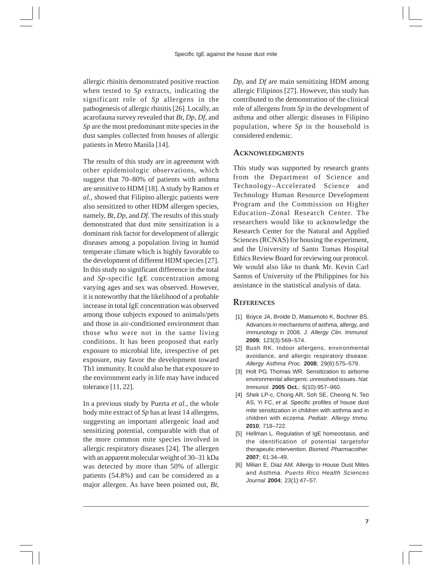allergic rhinitis demonstrated positive reaction when tested to *Sp* extracts, indicating the significant role of *Sp* allergens in the pathogenesis of allergic rhinitis [26]. Locally, an acarofauna survey revealed that *Bt*, *Dp*, *Df*, and *Sp* are the most predominant mite species in the dust samples collected from houses of allergic patients in Metro Manila [14].

The results of this study are in agreement with other epidemiologic observations, which suggest that 70–80% of patients with asthma are sensitive to HDM [18]. A study by Ramos *et al.*, showed that Filipino allergic patients were also sensitized to other HDM allergen species, namely, *Bt*, *Dp*, and *Df*. The results of this study demonstrated that dust mite sensitization is a dominant risk factor for development of allergic diseases among a population living in humid temperate climate which is highly favorable to the development of different HDM species [27]. In this study no significant difference in the total and *Sp*-specific IgE concentration among varying ages and sex was observed. However, it is noteworthy that the likelihood of a probable increase in total IgE concentration was observed among those subjects exposed to animals/pets and those in air-conditioned environment than those who were not in the same living conditions. It has been proposed that early exposure to microbial life, irrespective of pet exposure, may favor the development toward Th1 immunity. It could also be that exposure to the environment early in life may have induced tolerance [11, 22].

In a previous study by Puerta *et al.*, the whole body mite extract of *Sp* has at least 14 allergens, suggesting an important allergenic load and sensitizing potential, comparable with that of the more common mite species involved in allergic respiratory diseases [24]. The allergen with an apparent molecular weight of 30–31 kDa was detected by more than 50% of allergic patients (54.8%) and can be considered as a major allergen. As have been pointed out, *Bt*, *Dp*, and *Df* are main sensitizing HDM among allergic Filipinos [27]. However, this study has contributed to the demonstration of the clinical role of allergens from *Sp* in the development of asthma and other allergic diseases in Filipino population, where *Sp* in the household is considered endemic.

## **ACKNOWLEDGMENTS**

This study was supported by research grants from the Department of Science and Technology–Accelerated Science and Technology Human Resource Development Program and the Commission on Higher Education–Zonal Research Center. The researchers would like to acknowledge the Research Center for the Natural and Applied Sciences (RCNAS) for housing the experiment, and the University of Santo Tomas Hospital Ethics Review Board for reviewing our protocol. We would also like to thank Mr. Kevin Carl Santos of University of the Philippines for his assistance in the statistical analysis of data.

### **REFERENCES**

- [1] Boyce JA, Broide D, Matsumoto K, Bochner BS. Advances in mechanisms of asthma, allergy, and immunology in 2008. *J. Allergy Clin. Immunol.* **2009**; 123(3):569–574.
- [2] Bush RK. Indoor allergens, environmental avoidance, and allergic respiratory disease. *Allergy Asthma Proc.* **2008**; 29(6):575–579.
- [3] Holt PG, Thomas WR. Sensitization to airborne environmental allergens: unresolved issues. *Nat. Immunol*. **2005 Oct.**; 6(10):957–960.
- [4] Shek LP-c, Chong AR, Soh SE, Cheong N, Teo AS, Yi FC, *et al.* Specific profiles of house dust mite sensitization in children with asthma and in children with eczema. *Pediatr. Allergy Immu.* **2010**; 718–722.
- [5] Hellman L. Regulation of IgE homeostasis, and the identification of potential targetsfor therapeutic intervention. *Biomed. Pharmacother.* **2007**; 61:34–49.
- [6] Milian E, Diaz AM. Allergy to House Dust Mites and Asthma. *Puerto Rico Health Sciences Journal* **2004**; 23(1):47–57.